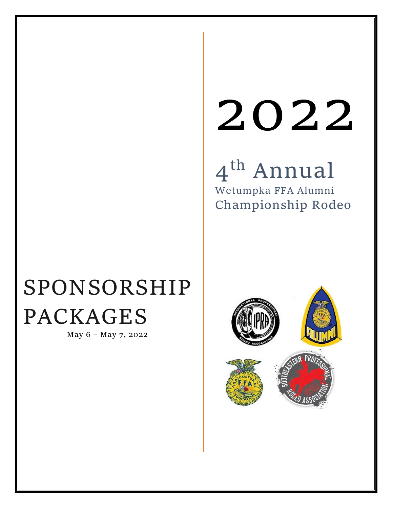# 2022

4th Annual Wetumpka FFA Alumni Championship Rodeo

# SPONSORSHIP PACKAGES

May 6 – May 7, 2022

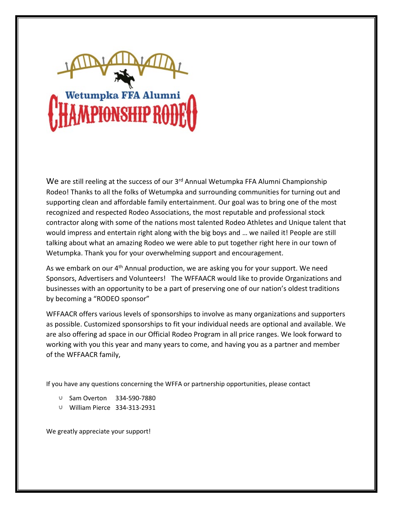

We are still reeling at the success of our 3<sup>rd</sup> Annual Wetumpka FFA Alumni Championship Rodeo! Thanks to all the folks of Wetumpka and surrounding communities for turning out and supporting clean and affordable family entertainment. Our goal was to bring one of the most recognized and respected Rodeo Associations, the most reputable and professional stock contractor along with some of the nations most talented Rodeo Athletes and Unique talent that would impress and entertain right along with the big boys and … we nailed it! People are still talking about what an amazing Rodeo we were able to put together right here in our town of Wetumpka. Thank you for your overwhelming support and encouragement.

As we embark on our 4<sup>th</sup> Annual production, we are asking you for your support. We need Sponsors, Advertisers and Volunteers! The WFFAACR would like to provide Organizations and businesses with an opportunity to be a part of preserving one of our nation's oldest traditions by becoming a "RODEO sponsor"

WFFAACR offers various levels of sponsorships to involve as many organizations and supporters as possible. Customized sponsorships to fit your individual needs are optional and available. We are also offering ad space in our Official Rodeo Program in all price ranges. We look forward to working with you this year and many years to come, and having you as a partner and member of the WFFAACR family,

If you have any questions concerning the WFFA or partnership opportunities, please contact

- U Sam Overton 334-590-7880
- William Pierce 334-313-2931

We greatly appreciate your support!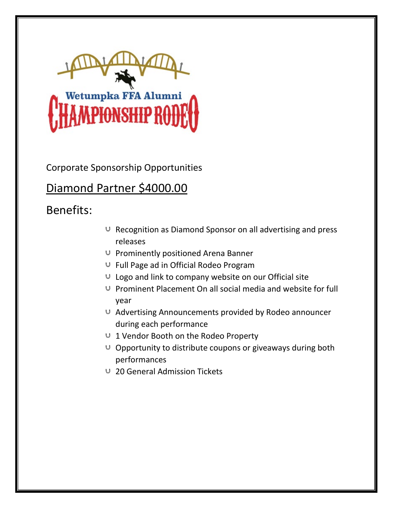

#### Diamond Partner \$4000.00

- $U$  Recognition as Diamond Sponsor on all advertising and press releases
- $\cup$  Prominently positioned Arena Banner
- Full Page ad in Official Rodeo Program
- $U$  Logo and link to company website on our Official site
- $\cup$  Prominent Placement On all social media and website for full year
- Advertising Announcements provided by Rodeo announcer during each performance
- U 1 Vendor Booth on the Rodeo Property
- $\cup$  Opportunity to distribute coupons or giveaways during both performances
- 20 General Admission Tickets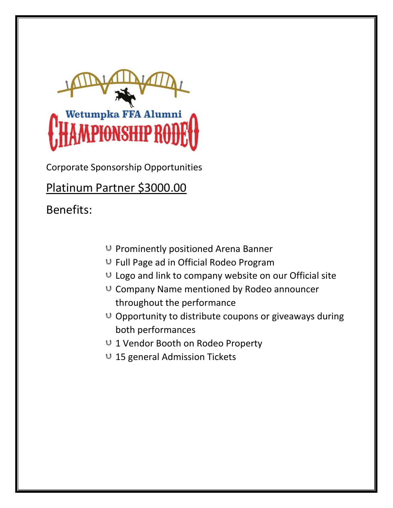

Platinum Partner \$3000.00

- $U$  Prominently positioned Arena Banner
- Full Page ad in Official Rodeo Program
- $U$  Logo and link to company website on our Official site
- $U$  Company Name mentioned by Rodeo announcer throughout the performance
- $\cup$  Opportunity to distribute coupons or giveaways during both performances
- U 1 Vendor Booth on Rodeo Property
- U 15 general Admission Tickets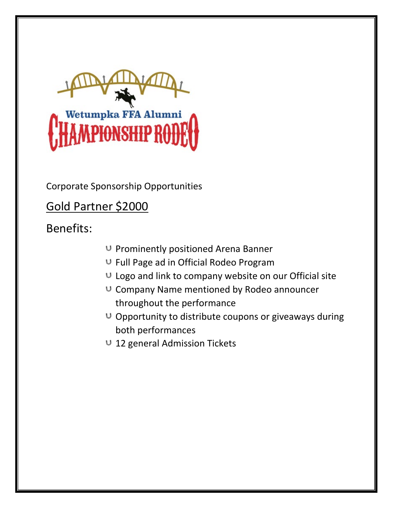

Gold Partner \$2000

- $U$  Prominently positioned Arena Banner
- Full Page ad in Official Rodeo Program
- $U$  Logo and link to company website on our Official site
- $U$  Company Name mentioned by Rodeo announcer throughout the performance
- $\cup$  Opportunity to distribute coupons or giveaways during both performances
- U 12 general Admission Tickets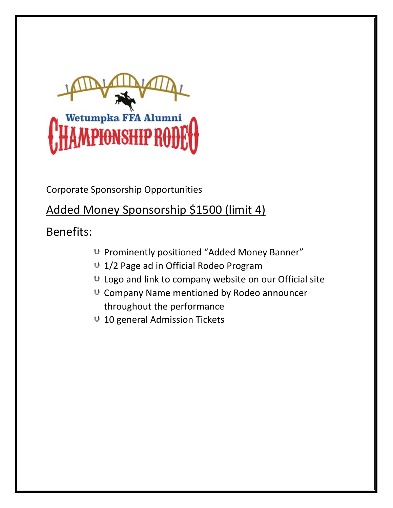

#### Added Money Sponsorship \$1500 (limit 4)

- U Prominently positioned "Added Money Banner"
- U 1/2 Page ad in Official Rodeo Program
- U Logo and link to company website on our Official site
- $U$  Company Name mentioned by Rodeo announcer throughout the performance
- $U$  10 general Admission Tickets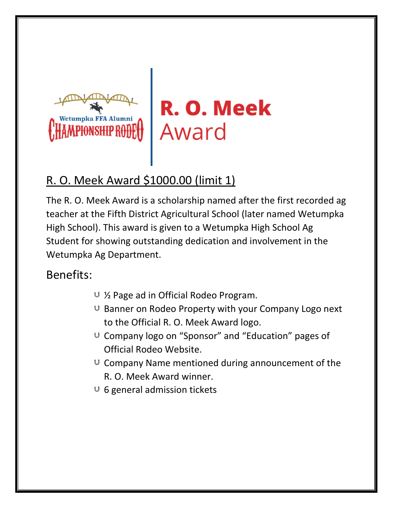

R. O. Meek Award

#### R. O. Meek Award \$1000.00 (limit 1)

The R. O. Meek Award is a scholarship named after the first recorded ag teacher at the Fifth District Agricultural School (later named Wetumpka High School). This award is given to a Wetumpka High School Ag Student for showing outstanding dedication and involvement in the Wetumpka Ag Department.

- ½ Page ad in Official Rodeo Program.
- $U$  Banner on Rodeo Property with your Company Logo next to the Official R. O. Meek Award logo.
- U Company logo on "Sponsor" and "Education" pages of Official Rodeo Website.
- $U$  Company Name mentioned during announcement of the R. O. Meek Award winner.
- $U$  6 general admission tickets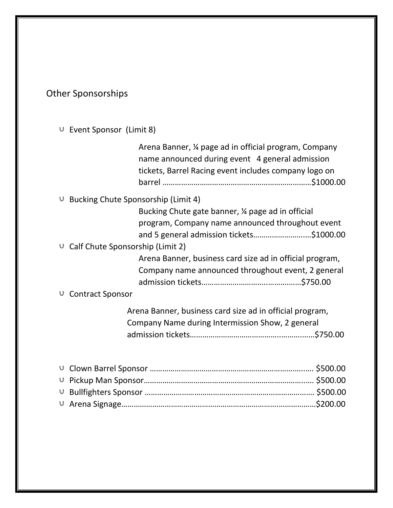Other Sponsorships

Event Sponsor (Limit 8)

| Arena Banner, 1/4 page ad in official program, Company<br>name announced during event 4 general admission<br>tickets, Barrel Racing event includes company logo on |
|--------------------------------------------------------------------------------------------------------------------------------------------------------------------|
| <b>Bucking Chute Sponsorship (Limit 4)</b>                                                                                                                         |
| Bucking Chute gate banner, 1/4 page ad in official                                                                                                                 |
| program, Company name announced throughout event                                                                                                                   |
| and 5 general admission tickets\$1000.00                                                                                                                           |
| $\cup$ Calf Chute Sponsorship (Limit 2)                                                                                                                            |
| Arena Banner, business card size ad in official program,                                                                                                           |
| Company name announced throughout event, 2 general                                                                                                                 |
| <b>∪</b> Contract Sponsor                                                                                                                                          |
| Arena Banner, business card size ad in official program,<br>Company Name during Intermission Show, 2 general                                                       |
|                                                                                                                                                                    |
|                                                                                                                                                                    |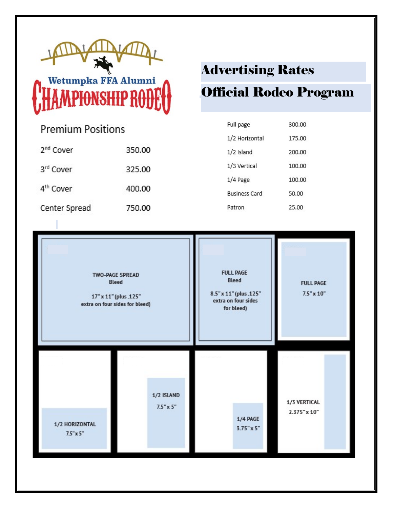

# Wetumpka FFA Alumni **\PIONSHIP RODI**

| <b>Premium Positions</b> |        |  |
|--------------------------|--------|--|
| 2 <sup>nd</sup> Cover    | 350.00 |  |
| 3rd Cover                | 325.00 |  |
| 4 <sup>th</sup> Cover    | 400.00 |  |
| Center Spread            | 750.00 |  |
|                          |        |  |

## Advertising Rates

## Official Rodeo Program

| Full page            | 300.00 |
|----------------------|--------|
| 1/2 Horizontal       | 175.00 |
| 1/2 Island           | 200.00 |
| 1/3 Vertical         | 100.00 |
| 1/4 Page             | 100.00 |
| <b>Business Card</b> | 50.00  |
| Patron               | 25.00  |

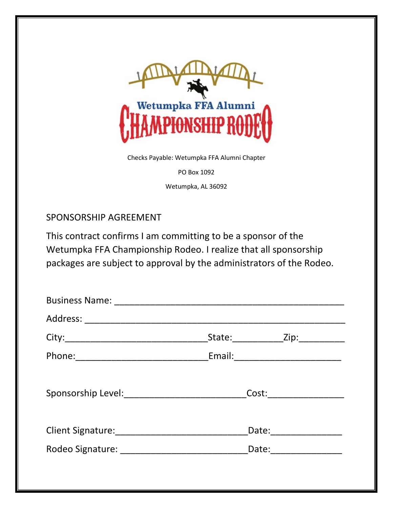

Checks Payable: Wetumpka FFA Alumni Chapter

PO Box 1092

Wetumpka, AL 36092

#### SPONSORSHIP AGREEMENT

This contract confirms I am committing to be a sponsor of the Wetumpka FFA Championship Rodeo. I realize that all sponsorship packages are subject to approval by the administrators of the Rodeo.

|  | State: Zip: Zip:       |  |  |  |
|--|------------------------|--|--|--|
|  |                        |  |  |  |
|  |                        |  |  |  |
|  | Cost:                  |  |  |  |
|  |                        |  |  |  |
|  | Date: ________________ |  |  |  |
|  | Date: _____________    |  |  |  |
|  |                        |  |  |  |
|  |                        |  |  |  |